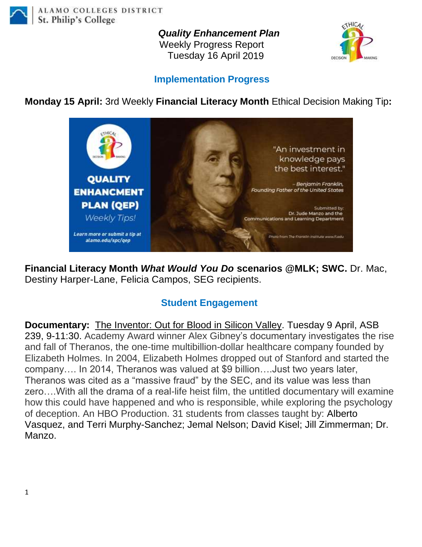

*Quality Enhancement Plan*

Weekly Progress Report Tuesday 16 April 2019



## **Implementation Progress**

**Monday 15 April:** 3rd Weekly **Financial Literacy Month** Ethical Decision Making Tip**:** 



**Financial Literacy Month** *What Would You Do* **scenarios @MLK; SWC.** Dr. Mac, Destiny Harper-Lane, Felicia Campos, SEG recipients.

## **Student Engagement**

**Documentary:** [The Inventor: Out for Blood in Silicon Valley.](https://mail.alamo.edu/owa/redir.aspx?C=LrCOwtMu5yn2ybu7eUd_SCMNDTc4ia3PKBazolIOJQhXDucwkLfWCA..&URL=https%3a%2f%2fspcezproxy.alamo.edu%2flogin%3furl%3dhttps%3a%2f%2fdigital.films.com%2fPortalPlaylists.aspx%3fwID%3d95143%26xtid%3d182965) Tuesday 9 April, ASB 239, 9-11:30. Academy Award winner Alex Gibney's documentary investigates the rise and fall of Theranos, the one-time multibillion-dollar healthcare company founded by Elizabeth Holmes. In 2004, Elizabeth Holmes dropped out of Stanford and started the company…. In 2014, Theranos was valued at \$9 billion….Just two years later, Theranos was cited as a "massive fraud" by the SEC, and its value was less than zero….With all the drama of a real-life heist film, the untitled documentary will examine how this could have happened and who is responsible, while exploring the psychology of deception. An HBO Production. 31 students from classes taught by: Alberto Vasquez, and Terri Murphy-Sanchez; Jemal Nelson; David Kisel; Jill Zimmerman; Dr. Manzo.